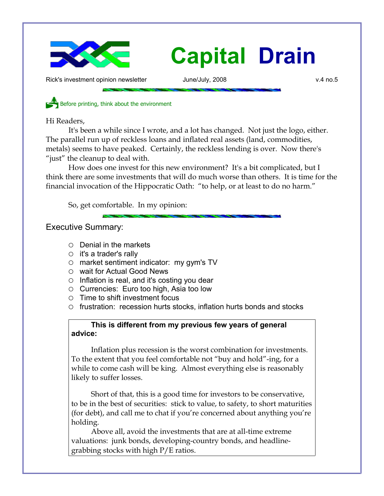

Rick's investment opinion newsletter and June/July, 2008 and the state of the state of the state of the state o

Before printing, think about the environment

Hi Readers,

It's been a while since I wrote, and a lot has changed. Not just the logo, either. The parallel run up of reckless loans and inflated real assets (land, commodities, metals) seems to have peaked. Certainly, the reckless lending is over. Now there's "just" the cleanup to deal with.

How does one invest for this new environment? It's a bit complicated, but I think there are some investments that will do much worse than others. It is time for the financial invocation of the Hippocratic Oath: "to help, or at least to do no harm."

So, get comfortable. In my opinion:

Executive Summary:

- Denial in the markets
- $\circ$  it's a trader's rally
- market sentiment indicator: my gym's TV
- wait for Actual Good News
- $\circ$  Inflation is real, and it's costing you dear
- Currencies: Euro too high, Asia too low
- Time to shift investment focus
- frustration: recession hurts stocks, inflation hurts bonds and stocks

## **This is different from my previous few years of general advice:**

Inflation plus recession is the worst combination for investments. To the extent that you feel comfortable not "buy and hold"-ing, for a while to come cash will be king. Almost everything else is reasonably likely to suffer losses.

Short of that, this is a good time for investors to be conservative, to be in the best of securities: stick to value, to safety, to short maturities (for debt), and call me to chat if you're concerned about anything you're holding.

Above all, avoid the investments that are at all-time extreme valuations: junk bonds, developing-country bonds, and headlinegrabbing stocks with high P/E ratios.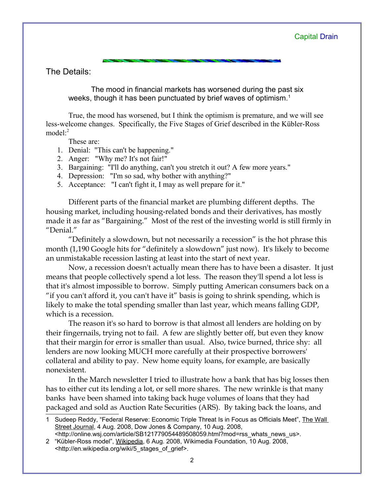The Details:

The mood in financial markets has worsened during the past six weeks, though it has been punctuated by brief waves of optimism.<sup>[1](#page-1-0)</sup>

True, the mood has worsened, but I think the optimism is premature, and we will see less-welcome changes. Specifically, the Five Stages of Grief described in the Kübler-Ross model $^{2}$  $^{2}$  $^{2}$ 

These are:

- 1. Denial: "This can't be happening."
- 2. Anger: "Why me? It's not fair!"
- 3. Bargaining: "I'll do anything, can't you stretch it out? A few more years."
- 4. Depression: "I'm so sad, why bother with anything?"
- 5. Acceptance: "I can't fight it, I may as well prepare for it."

Different parts of the financial market are plumbing different depths. The housing market, including housing-related bonds and their derivatives, has mostly made it as far as "Bargaining." Most of the rest of the investing world is still firmly in "Denial."

"Definitely a slowdown, but not necessarily a recession" is the hot phrase this month (1,190 Google hits for "definitely a slowdown" just now). It's likely to become an unmistakable recession lasting at least into the start of next year.

Now, a recession doesn't actually mean there has to have been a disaster. It just means that people collectively spend a lot less. The reason they'll spend a lot less is that it's almost impossible to borrow. Simply putting American consumers back on a "if you can't afford it, you can't have it" basis is going to shrink spending, which is likely to make the total spending smaller than last year, which means falling GDP, which is a recession.

The reason it's so hard to borrow is that almost all lenders are holding on by their fingernails, trying not to fail. A few are slightly better off, but even they know that their margin for error is smaller than usual. Also, twice burned, thrice shy: all lenders are now looking MUCH more carefully at their prospective borrowers' collateral and ability to pay. New home equity loans, for example, are basically nonexistent.

In the March newsletter I tried to illustrate how a bank that has big losses then has to either cut its lending a lot, or sell more shares. The new wrinkle is that many banks have been shamed into taking back huge volumes of loans that they had packaged and sold as Auction Rate Securities (ARS). By taking back the loans, and

<span id="page-1-0"></span><sup>1</sup> Sudeep Reddy, "Federal Reserve: Economic Triple Threat Is in Focus as Officials Meet", The Wall Street Journal, 4 Aug. 2008, Dow Jones & Company, 10 Aug. 2008,

<span id="page-1-1"></span><sup>&</sup>lt;http://online.wsj.com/article/SB121779054489508059.html?mod=rss\_whats\_news\_us>. 2 "Kübler-Ross model", Wikipedia, 6 Aug. 2008, Wikimedia Foundation, 10 Aug. 2008, <http://en.wikipedia.org/wiki/5\_stages\_of\_grief>.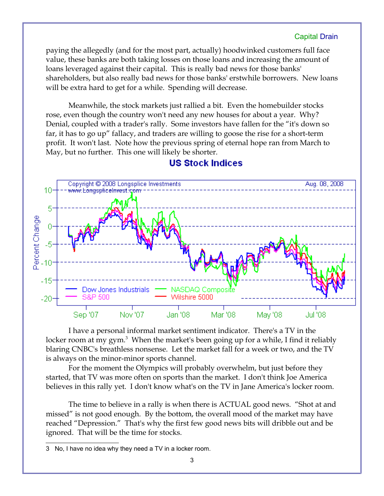paying the allegedly (and for the most part, actually) hoodwinked customers full face value, these banks are both taking losses on those loans and increasing the amount of loans leveraged against their capital. This is really bad news for those banks' shareholders, but also really bad news for those banks' erstwhile borrowers. New loans will be extra hard to get for a while. Spending will decrease.

Meanwhile, the stock markets just rallied a bit. Even the homebuilder stocks rose, even though the country won't need any new houses for about a year. Why? Denial, coupled with a trader's rally. Some investors have fallen for the "it's down so far, it has to go up" fallacy, and traders are willing to goose the rise for a short-term profit. It won't last. Note how the previous spring of eternal hope ran from March to May, but no further. This one will likely be shorter.



## **US Stock Indices**

I have a personal informal market sentiment indicator. There's a TV in the locker room at my gym.<sup>[3](#page-2-0)</sup> When the market's been going up for a while, I find it reliably blaring CNBC's breathless nonsense. Let the market fall for a week or two, and the TV is always on the minor-minor sports channel.

For the moment the Olympics will probably overwhelm, but just before they started, that TV was more often on sports than the market. I don't think Joe America believes in this rally yet. I don't know what's on the TV in Jane America's locker room.

The time to believe in a rally is when there is ACTUAL good news. "Shot at and missed" is not good enough. By the bottom, the overall mood of the market may have reached "Depression." That's why the first few good news bits will dribble out and be ignored. That will be the time for stocks.

<span id="page-2-0"></span><sup>3</sup> No, I have no idea why they need a TV in a locker room.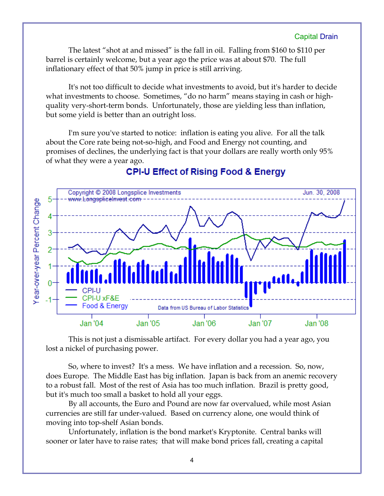The latest "shot at and missed" is the fall in oil. Falling from \$160 to \$110 per barrel is certainly welcome, but a year ago the price was at about \$70. The full inflationary effect of that 50% jump in price is still arriving.

It's not too difficult to decide what investments to avoid, but it's harder to decide what investments to choose. Sometimes, "do no harm" means staying in cash or highquality very-short-term bonds. Unfortunately, those are yielding less than inflation, but some yield is better than an outright loss.

I'm sure you've started to notice: inflation is eating you alive. For all the talk about the Core rate being not-so-high, and Food and Energy not counting, and promises of declines, the underlying fact is that your dollars are really worth only 95% of what they were a year ago.



## **CPI-U Effect of Rising Food & Energy**

This is not just a dismissable artifact. For every dollar you had a year ago, you lost a nickel of purchasing power.

So, where to invest? It's a mess. We have inflation and a recession. So, now, does Europe. The Middle East has big inflation. Japan is back from an anemic recovery to a robust fall. Most of the rest of Asia has too much inflation. Brazil is pretty good, but it's much too small a basket to hold all your eggs.

By all accounts, the Euro and Pound are now far overvalued, while most Asian currencies are still far under-valued. Based on currency alone, one would think of moving into top-shelf Asian bonds.

Unfortunately, inflation is the bond market's Kryptonite. Central banks will sooner or later have to raise rates; that will make bond prices fall, creating a capital